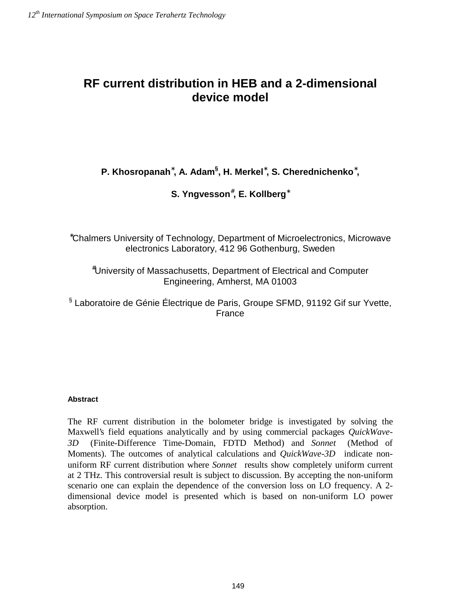## **RF current distribution in HEB and a 2-dimensional device model**

### **P. Khosropanah<sup>∗</sup>, A. Adam<sup>§</sup>, H. Merkel<sup>∗</sup>, S. Cherednichenko<sup>∗</sup>,**

#### **S. Yngvesson**# **, E. Kollberg**<sup>∗</sup>

∗ Chalmers University of Technology, Department of Microelectronics, Microwave electronics Laboratory, 412 96 Gothenburg, Sweden

# University of Massachusetts, Department of Electrical and Computer Engineering, Amherst, MA 01003

§ Laboratoire de Génie Électrique de Paris, Groupe SFMD, 91192 Gif sur Yvette, France

#### **Abstract**

The RF current distribution in the bolometer bridge is investigated by solving the Maxwell's field equations analytically and by using commercial packages *QuickWave-*3D<sup>®</sup> (Finite-Difference Time-Domain, FDTD Method) and *Sonnet*<sup>®</sup> (Method of Moments). The outcomes of analytical calculations and *QuickWave-3D*<sup>®</sup> indicate nonuniform RF current distribution where *Sonnet*<sup>®</sup> results show completely uniform current at 2 THz. This controversial result is subject to discussion. By accepting the non-uniform scenario one can explain the dependence of the conversion loss on LO frequency. A 2 dimensional device model is presented which is based on non-uniform LO power absorption.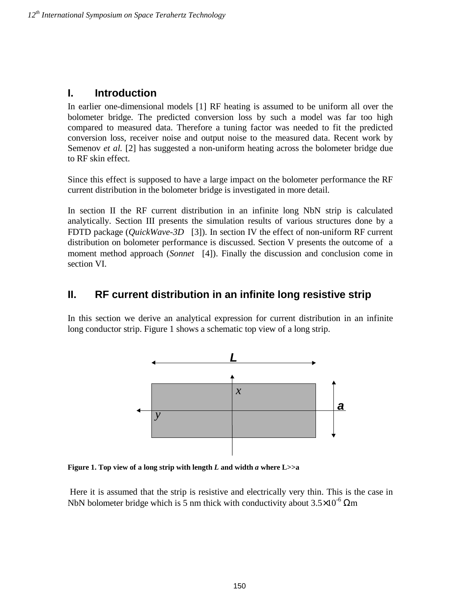#### **I. Introduction**

In earlier one-dimensional models [1] RF heating is assumed to be uniform all over the bolometer bridge. The predicted conversion loss by such a model was far too high compared to measured data. Therefore a tuning factor was needed to fit the predicted conversion loss, receiver noise and output noise to the measured data. Recent work by Semenov *et al.* [2] has suggested a non-uniform heating across the bolometer bridge due to RF skin effect.

Since this effect is supposed to have a large impact on the bolometer performance the RF current distribution in the bolometer bridge is investigated in more detail.

In section II the RF current distribution in an infinite long NbN strip is calculated analytically. Section III presents the simulation results of various structures done by a FDTD package (*QuickWave-3D*<sup>®</sup> [3]). In section IV the effect of non-uniform RF current distribution on bolometer performance is discussed. Section V presents the outcome of a moment method approach (*Sonnet*<sup>®</sup> [4]). Finally the discussion and conclusion come in section VI.

### **II. RF current distribution in an infinite long resistive strip**

In this section we derive an analytical expression for current distribution in an infinite long conductor strip. Figure 1 shows a schematic top view of a long strip.



**Figure 1. Top view of a long strip with length** *L* **and width** *a* **where L>>a** 

 Here it is assumed that the strip is resistive and electrically very thin. This is the case in NbN bolometer bridge which is 5 nm thick with conductivity about  $3.5\times10^{-6}$  Qm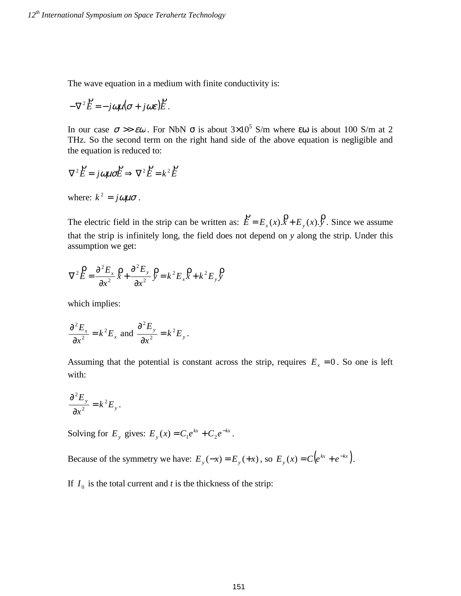The wave equation in a medium with finite conductivity is:

$$
-\nabla^2 \vec{E} = -j\omega\mu(\sigma + j\omega\varepsilon)\vec{E}.
$$

In our case  $\sigma \gg \epsilon \omega$ . For NbN  $\sigma$  is about 3×10<sup>5</sup> S/m where  $\epsilon \omega$  is about 100 S/m at 2 THz. So the second term on the right hand side of the above equation is negligible and the equation is reduced to:

$$
\nabla^2 \vec{E} = j\omega\mu\sigma \vec{E} \Rightarrow \nabla^2 \vec{E} = k^2 \vec{E}
$$

where:  $k^2 = j\omega\mu\sigma$ .

The electric field in the strip can be written as:  $\vec{E} = E_x(x)\hat{x} + E_y(x)\hat{y}$ . Since we assume that the strip is infinitely long, the field does not depend on *y* along the strip. Under this assumption we get:

$$
\nabla^2 \overset{\mathbf{D}}{E} = \frac{\partial^2 E_x}{\partial x^2} \overset{\mathbf{D}}{X} + \frac{\partial^2 E_y}{\partial x^2} \overset{\mathbf{D}}{Y} = k^2 E_x \overset{\mathbf{D}}{X} + k^2 E_y \overset{\mathbf{D}}{Y}
$$

which implies:

$$
\frac{\partial^2 E_x}{\partial x^2} = k^2 E_x \text{ and } \frac{\partial^2 E_y}{\partial x^2} = k^2 E_y.
$$

Assuming that the potential is constant across the strip, requires  $E<sub>x</sub> = 0$ . So one is left with:

$$
\frac{\partial^2 E_y}{\partial x^2} = k^2 E_y.
$$

Solving for  $E_y$  gives:  $E_y(x) = C_1 e^{kx} + C_2 e^{-kx}$ .

Because of the symmetry we have:  $E_y(-x) = E_y(+x)$ , so  $E_y(x) = C(e^{kx} + e^{-kx})$ .

If  $I_0$  is the total current and *t* is the thickness of the strip: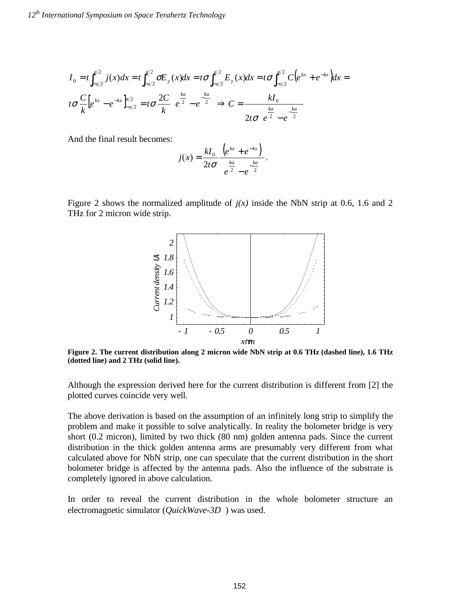$$
I_0 = t \int_{-a/2}^{a/2} j(x) dx = t \int_{-a/2}^{a/2} \sigma E_y(x) dx = t \sigma \int_{-a/2}^{a/2} E_y(x) dx = t \sigma \int_{-a/2}^{a/2} C \left( e^{kx} + e^{-kx} \right) dx = t \sigma \frac{C}{k} \left[ e^{kx} - e^{-kx} \right]_{-a/2}^{a/2} = t \sigma \frac{2C}{k} \left( e^{\frac{ka}{2}} - e^{-\frac{ka}{2}} \right) \Rightarrow C = \frac{kI_0}{2t \sigma \left( e^{\frac{ka}{2}} - e^{-\frac{ka}{2}} \right)}
$$

And the final result becomes:

$$
j(x) = \frac{kI_0}{2t\sigma} \frac{\left(e^{kx} + e^{-kx}\right)}{\left(e^{\frac{ka}{2}} - e^{-\frac{ka}{2}}\right)}.
$$

Figure 2 shows the normalized amplitude of  $j(x)$  inside the NbN strip at 0.6, 1.6 and 2 THz for 2 micron wide strip.



**Figure 2. The current distribution along 2 micron wide NbN strip at 0.6 THz (dashed line), 1.6 THz (dotted line) and 2 THz (solid line).** 

Although the expression derived here for the current distribution is different from [2] the plotted curves coincide very well.

The above derivation is based on the assumption of an infinitely long strip to simplify the problem and make it possible to solve analytically. In reality the bolometer bridge is very short (0.2 micron), limited by two thick (80 nm) golden antenna pads. Since the current distribution in the thick golden antenna arms are presumably very different from what calculated above for NbN strip, one can speculate that the current distribution in the short bolometer bridge is affected by the antenna pads. Also the influence of the substrate is completely ignored in above calculation.

In order to reveal the current distribution in the whole bolometer structure an electromagnetic simulator (*OuickWave-3D*<sup>®</sup>) was used.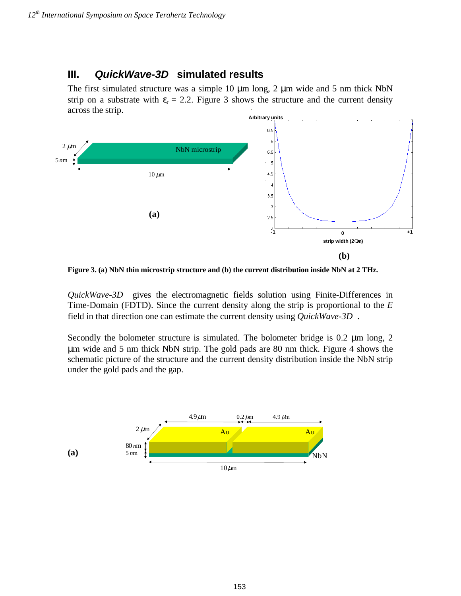# **III.** QuickWave-3D<sup>®</sup> simulated results

The first simulated structure was a simple 10  $\mu$ m long, 2  $\mu$ m wide and 5 nm thick NbN strip on a substrate with  $\varepsilon_r = 2.2$ . Figure 3 shows the structure and the current density across the strip.



**Figure 3. (a) NbN thin microstrip structure and (b) the current distribution inside NbN at 2 THz.** 

*QuickWave-3D*<sup>®</sup> gives the electromagnetic fields solution using Finite-Differences in Time-Domain (FDTD). Since the current density along the strip is proportional to the *E* field in that direction one can estimate the current density using *QuickWave-3D*.

Secondly the bolometer structure is simulated. The bolometer bridge is 0.2  $\mu$ m long, 2 µm wide and 5 nm thick NbN strip. The gold pads are 80 nm thick. Figure 4 shows the schematic picture of the structure and the current density distribution inside the NbN strip under the gold pads and the gap.

153

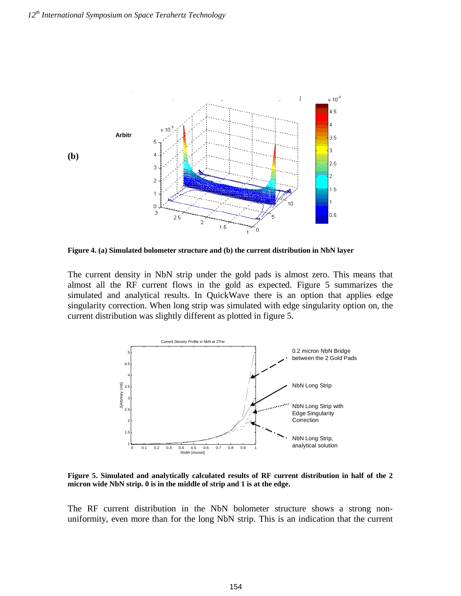

**Figure 4. (a) Simulated bolometer structure and (b) the current distribution in NbN layer** 

The current density in NbN strip under the gold pads is almost zero. This means that almost all the RF current flows in the gold as expected. Figure 5 summarizes the simulated and analytical results. In QuickWave there is an option that applies edge singularity correction. When long strip was simulated with edge singularity option on, the current distribution was slightly different as plotted in figure 5.



**Figure 5. Simulated and analytically calculated results of RF current distribution in half of the 2 micron wide NbN strip. 0 is in the middle of strip and 1 is at the edge.** 

The RF current distribution in the NbN bolometer structure shows a strong nonuniformity, even more than for the long NbN strip. This is an indication that the current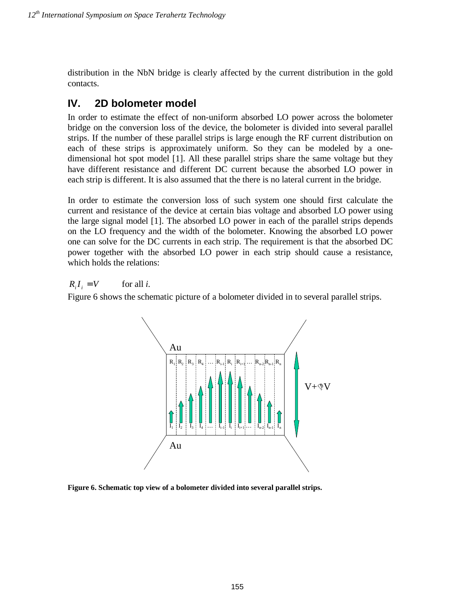distribution in the NbN bridge is clearly affected by the current distribution in the gold contacts.

## **IV. 2D bolometer model**

In order to estimate the effect of non-uniform absorbed LO power across the bolometer bridge on the conversion loss of the device, the bolometer is divided into several parallel strips. If the number of these parallel strips is large enough the RF current distribution on each of these strips is approximately uniform. So they can be modeled by a onedimensional hot spot model [1]. All these parallel strips share the same voltage but they have different resistance and different DC current because the absorbed LO power in each strip is different. It is also assumed that the there is no lateral current in the bridge.

In order to estimate the conversion loss of such system one should first calculate the current and resistance of the device at certain bias voltage and absorbed LO power using the large signal model [1]. The absorbed LO power in each of the parallel strips depends on the LO frequency and the width of the bolometer. Knowing the absorbed LO power one can solve for the DC currents in each strip. The requirement is that the absorbed DC power together with the absorbed LO power in each strip should cause a resistance, which holds the relations:

 $R_i I_i = V$  for all *i*.

Figure 6 shows the schematic picture of a bolometer divided in to several parallel strips.



**Figure 6. Schematic top view of a bolometer divided into several parallel strips.**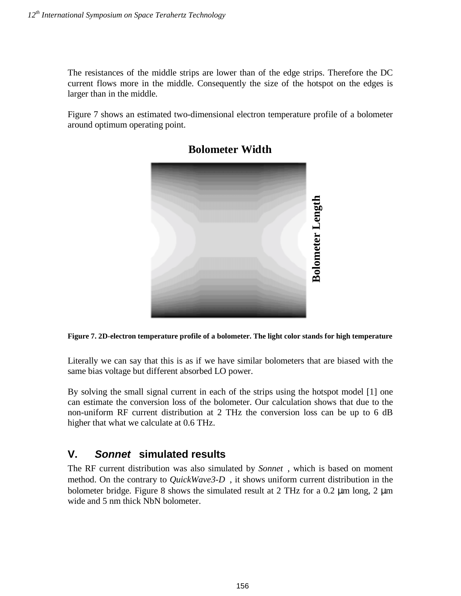The resistances of the middle strips are lower than of the edge strips. Therefore the DC current flows more in the middle. Consequently the size of the hotspot on the edges is larger than in the middle.

Figure 7 shows an estimated two-dimensional electron temperature profile of a bolometer around optimum operating point.



**Bolometer Width**

#### **Figure 7. 2D-electron temperature profile of a bolometer. The light color stands for high temperature**

Literally we can say that this is as if we have similar bolometers that are biased with the same bias voltage but different absorbed LO power.

By solving the small signal current in each of the strips using the hotspot model [1] one can estimate the conversion loss of the bolometer. Our calculation shows that due to the non-uniform RF current distribution at 2 THz the conversion loss can be up to 6 dB higher that what we calculate at 0.6 THz.

## **V. Sonnet simulated results**

The RF current distribution was also simulated by *Sonnet*<sup>®</sup>, which is based on moment method. On the contrary to *QuickWave3-D*<sup>®</sup>, it shows uniform current distribution in the bolometer bridge. Figure 8 shows the simulated result at 2 THz for a 0.2  $\mu$ m long, 2  $\mu$ m wide and 5 nm thick NbN bolometer.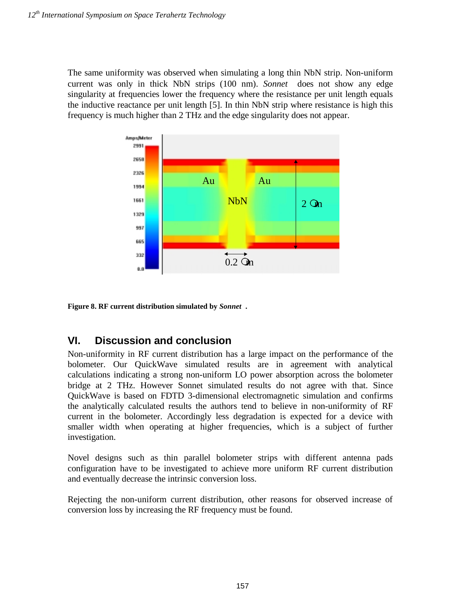The same uniformity was observed when simulating a long thin NbN strip. Non-uniform current was only in thick NbN strips  $(100 \text{ nm})$ . *Sonnet*<sup>®</sup> does not show any edge singularity at frequencies lower the frequency where the resistance per unit length equals the inductive reactance per unit length [5]. In thin NbN strip where resistance is high this frequency is much higher than 2 THz and the edge singularity does not appear.



**Figure 8. RF current distribution simulated by** *Sonnet***.** 

## **VI. Discussion and conclusion**

Non-uniformity in RF current distribution has a large impact on the performance of the bolometer. Our QuickWave simulated results are in agreement with analytical calculations indicating a strong non-uniform LO power absorption across the bolometer bridge at 2 THz. However Sonnet simulated results do not agree with that. Since QuickWave is based on FDTD 3-dimensional electromagnetic simulation and confirms the analytically calculated results the authors tend to believe in non-uniformity of RF current in the bolometer. Accordingly less degradation is expected for a device with smaller width when operating at higher frequencies, which is a subject of further investigation.

Novel designs such as thin parallel bolometer strips with different antenna pads configuration have to be investigated to achieve more uniform RF current distribution and eventually decrease the intrinsic conversion loss.

Rejecting the non-uniform current distribution, other reasons for observed increase of conversion loss by increasing the RF frequency must be found.